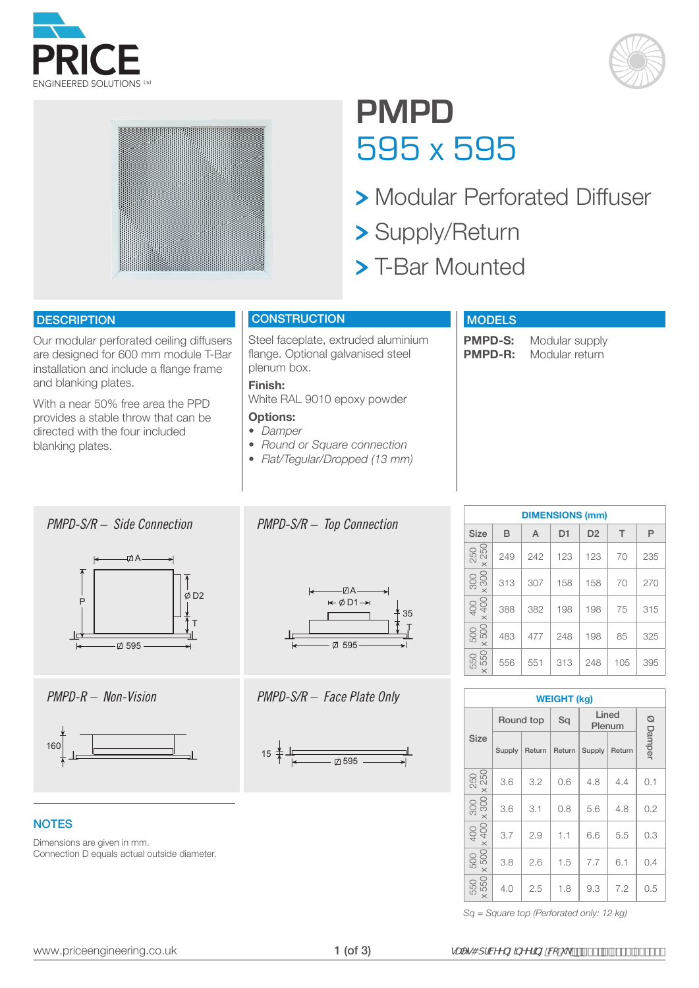





# **PMPD** 595 x 595

- **> Modular Perforated Diffuser**
- Supply/Return
- T-Bar Mounted

### **DESCRIPTION**

Our modular perforated ceiling diffusers are designed for 600 mm module T-Bar installation and include a flange frame and blanking plates.

With a near 50% free area the PPD provides a stable throw that can be directed with the four included blanking plates.

# **CONSTRUCTION**

Steel faceplate, extruded aluminium flange. Optional galvanised steel plenum box.

#### **Finish:**

White RAL 9010 epoxy powder

### **Options:**

- *• Damper*
- *• Round or Square connection*
- *• Flat/Tegular/Dropped (13 mm)*

## *PMPD-S/R – Side Connection PMPD-S/R – Top Connection*





### **NOTES**

Dimensions are given in mm. Connection D equals actual outside diameter.



*PMPD-R – Non-Vision PMPD-S/R – Face Plate Only*



| <b>MODELS</b> |  |
|---------------|--|
|               |  |
|               |  |

**PMPD-S:** Modular supply<br>**PMPD-R:** Modular return **Modular return** 

|                        |     |     | <b>DIMENSIONS (mm)</b> |                |     |     |
|------------------------|-----|-----|------------------------|----------------|-----|-----|
| <b>Size</b>            | B   | A   | D <sub>1</sub>         | D <sub>2</sub> | T   | P   |
| 250<br>x 250           | 249 | 242 | 123                    | 123            | 70  | 235 |
| $\times 300$<br>300    | 313 | 307 | 158                    | 158            | 70  | 270 |
| $\times$ 400<br>400    | 388 | 382 | 198                    | 198            | 75  | 315 |
| $\times$ 500<br>500    | 483 | 477 | 248                    | 198            | 85  | 325 |
| 550<br>550<br>$\times$ | 556 | 551 | 313                    | 248            | 105 | 395 |

|                                   |            |        | <b>WEIGHT (kg)</b> |        |        |          |
|-----------------------------------|------------|--------|--------------------|--------|--------|----------|
|                                   | Round top  |        | Sq                 | Plenum | Lined  |          |
| <b>Size</b>                       | Supply     | Return | Return             | Supply | Return | Ø Damper |
| $\times 250$<br>250               | 3.6        | 3.2    | 0.6                | 4.8    | 4.4    | 0.1      |
| 300<br>$\times 300$               | 3.6<br>3.1 |        | 0.8                | 5.6    | 4.8    | 0.2      |
| X 400                             | 3.7        | 2.9    | 1.1                | 6.6    | 5.5    | 0.3      |
| 500<br>$\times$ 500               | 3.8        | 2.6    | 1.5                | 7.7    | 6.1    | 0.4      |
| 550<br>550<br>$\overline{\times}$ | 4.0        | 2.5    | 1.8                | 9.3    | 7.2    | 0.5      |

*Sq = Square top (Perforated only: 12 kg)*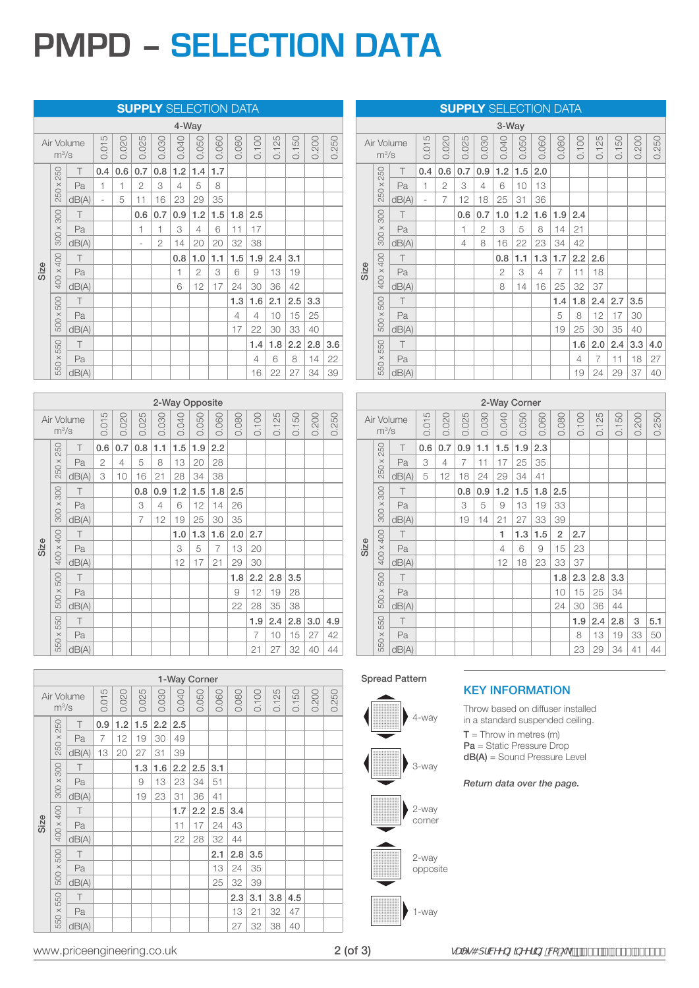# **PMPD – SELECTION DATA**

|      |           |            |       |       | <b>SUPPLY SELECTION DATA</b> |                |       |                |       |                |       |       |                     |       |       |
|------|-----------|------------|-------|-------|------------------------------|----------------|-------|----------------|-------|----------------|-------|-------|---------------------|-------|-------|
|      |           |            |       |       |                              |                | 4-Way |                |       |                |       |       |                     |       |       |
|      | $m^3/s$   | Air Volume | 0.015 | 0.020 | 0.025                        | 0.030          | 0.040 | 0.050          | 0.060 | 0.080          | 0.100 | 0.125 | 50<br>$\frac{1}{2}$ | 0.200 | 0.250 |
|      | 250       | T          | 0.4   | 0.6   | 0.7                          | 0.8            | 1.2   | 1.4            | 1.7   |                |       |       |                     |       |       |
|      | 250 x     | Pa         | 1     | 1     | $\overline{2}$               | 3              | 4     | 5              | 8     |                |       |       |                     |       |       |
|      |           | dB(A)      | ä,    | 5     | 11                           | 16             | 23    | 29             | 35    |                |       |       |                     |       |       |
|      |           | T          |       |       | 0.6                          | 0.7            | 0.9   | 1.2            | 1.5   | 1.8            | 2.5   |       |                     |       |       |
|      | 300 x 300 | Pa         |       |       | 1                            | 1              | 3     | $\overline{4}$ | 6     | 11             | 17    |       |                     |       |       |
|      |           | dB(A)      |       |       | $\overline{a}$               | $\overline{2}$ | 14    | 20             | 20    | 32             | 38    |       |                     |       |       |
|      |           | T          |       |       |                              |                | 0.8   | 1.0            | 1.1   | 1.5            | 1.9   | 2.4   | 3.1                 |       |       |
| Size | 400 x 400 | Pa         |       |       |                              |                | 1     | $\overline{2}$ | 3     | 6              | 9     | 13    | 19                  |       |       |
|      |           | dB(A)      |       |       |                              |                | 6     | 12             | 17    | 24             | 30    | 36    | 42                  |       |       |
|      |           | T          |       |       |                              |                |       |                |       | 1.3            | 1.6   | 2.1   | 2.5                 | 3.3   |       |
|      | 500 x 500 | Pa         |       |       |                              |                |       |                |       | $\overline{4}$ | 4     | 10    | 15                  | 25    |       |
|      |           | dB(A)      |       |       |                              |                |       |                |       | 17             | 22    | 30    | 33                  | 40    |       |
|      |           | T          |       |       |                              |                |       |                |       |                | 1.4   | 1.8   | 2.2                 | 2.8   | 3.6   |
|      | 550 x 550 | Pa         |       |       |                              |                |       |                |       |                | 4     | 6     | 8                   | 14    | 22    |
|      |           | dB(A)      |       |       |                              |                |       |                |       |                | 16    | 22    | 27                  | 34    | 39    |

|      |           |            |                |       |       |       |       | 2-Way Opposite |       |       |                |                     |                     |       |       |
|------|-----------|------------|----------------|-------|-------|-------|-------|----------------|-------|-------|----------------|---------------------|---------------------|-------|-------|
|      | $m^3/s$   | Air Volume | 0.015          | 0.020 | 0.025 | 0.030 | 0.040 | 0.050          | 0.060 | 0.080 | 0.100          | 25<br>$\frac{1}{2}$ | 50<br>$\frac{1}{2}$ | 0.200 | 0.250 |
|      |           | T          | 0.6            | 0.7   | 0.8   | 1.1   | 1.5   | 1.9            | 2.2   |       |                |                     |                     |       |       |
|      | 250 x 250 | Pa         | $\overline{2}$ | 4     | 5     | 8     | 13    | 20             | 28    |       |                |                     |                     |       |       |
|      |           | dB(A)      | 3              | 10    | 16    | 21    | 28    | 34             | 38    |       |                |                     |                     |       |       |
|      |           | $\top$     |                |       | 0.8   | 0.9   | 1.2   | 1.5            | 1.8   | 2.5   |                |                     |                     |       |       |
|      | 300 x 300 | Pa         |                |       | 3     | 4     | 6     | 12             | 14    | 26    |                |                     |                     |       |       |
|      |           | dB(A)      |                |       | 7     | 12    | 19    | 25             | 30    | 35    |                |                     |                     |       |       |
|      |           | $\top$     |                |       |       |       | 1.0   | 1.3            | 1.6   | 2.0   | 2.7            |                     |                     |       |       |
| Size | 400 x 400 | Pa         |                |       |       |       | 3     | 5              | 7     | 13    | 20             |                     |                     |       |       |
|      |           | dB(A)      |                |       |       |       | 12    | 17             | 21    | 29    | 30             |                     |                     |       |       |
|      |           | T          |                |       |       |       |       |                |       | 1.8   | 2.2            | 2.8                 | 3.5                 |       |       |
|      | 500 x 500 | Pa         |                |       |       |       |       |                |       | 9     | 12             | 19                  | 28                  |       |       |
|      |           | dB(A)      |                |       |       |       |       |                |       | 22    | 28             | 35                  | 38                  |       |       |
|      |           | T          |                |       |       |       |       |                |       |       | 1.9            | 2.4                 | 2.8                 | 3.0   | 4.9   |
|      | 550 x 550 | Pa         |                |       |       |       |       |                |       |       | $\overline{7}$ | 10                  | 15                  | 27    | 42    |
|      |           | dB(A)      |                |       |       |       |       |                |       |       | 21             | 27                  | 32                  | 40    | 44    |

|      |           |            |       |       |       |       |       | 1-Way Corner |       |       |       |       |                     |       |       |
|------|-----------|------------|-------|-------|-------|-------|-------|--------------|-------|-------|-------|-------|---------------------|-------|-------|
|      | $m^3/s$   | Air Volume | 0.015 | 0.020 | 0.025 | 0.030 | 0.040 | 0.050        | 0.060 | 0.080 | 0.100 | 0.125 | 50<br>$\frac{1}{2}$ | 0.200 | 0.250 |
|      |           | $\top$     | 0.9   | 1.2   | 1.5   | 2.2   | 2.5   |              |       |       |       |       |                     |       |       |
|      | 250 x 250 | Pa         | 7     | 12    | 19    | 30    | 49    |              |       |       |       |       |                     |       |       |
|      |           | dB(A)      | 13    | 20    | 27    | 31    | 39    |              |       |       |       |       |                     |       |       |
|      |           | $\top$     |       |       | 1.3   | 1.6   | 2.2   | 2.5          | 3.1   |       |       |       |                     |       |       |
|      | 300 x 300 | Pa         |       |       | 9     | 13    | 23    | 34           | 51    |       |       |       |                     |       |       |
|      |           | dB(A)      |       |       | 19    | 23    | 31    | 36           | 41    |       |       |       |                     |       |       |
|      |           | T          |       |       |       |       | 1.7   | 2.2          | 2.5   | 3.4   |       |       |                     |       |       |
| Size | 400 x 400 | Pa         |       |       |       |       | 11    | 17           | 24    | 43    |       |       |                     |       |       |
|      |           | dB(A)      |       |       |       |       | 22    | 28           | 32    | 44    |       |       |                     |       |       |
|      |           | T          |       |       |       |       |       |              | 2.1   | 2.8   | 3.5   |       |                     |       |       |
|      | 500 x 500 | Pa         |       |       |       |       |       |              | 13    | 24    | 35    |       |                     |       |       |
|      |           | dB(A)      |       |       |       |       |       |              | 25    | 32    | 39    |       |                     |       |       |
|      |           | T          |       |       |       |       |       |              |       | 2.3   | 3.1   | 3.8   | 4.5                 |       |       |
|      | 550 x 550 | Pa         |       |       |       |       |       |              |       | 13    | 21    | 32    | 47                  |       |       |
|      |           | dB(A)      |       |       |       |       |       |              |       | 27    | 32    | 38    | 40                  |       |       |

|                                 |           |            |                |                | <b>SUPPLY SELECTION DATA</b> |                |       |       |       |       |       |                |       |       |       |
|---------------------------------|-----------|------------|----------------|----------------|------------------------------|----------------|-------|-------|-------|-------|-------|----------------|-------|-------|-------|
|                                 |           |            |                |                |                              |                | 3-Way |       |       |       |       |                |       |       |       |
|                                 | $m^3/s$   | Air Volume | 0.015          | 0.020          | 0.025                        | 0.030          | 0.040 | 0.050 | 0.060 | 0.080 | 0.100 | 0.125          | 0.150 | 0.200 | 0.250 |
|                                 | 250       | T          | 0.4            | 0.6            | 0.7                          | 0.9            | 1.2   | 1.5   | 2.0   |       |       |                |       |       |       |
|                                 |           | Pa         | $\mathbf 1$    | 2              | 3                            | 4              | 6     | 10    | 13    |       |       |                |       |       |       |
| 250 x<br>300 x 300<br>400 x 400 |           | dB(A)      | $\overline{a}$ | $\overline{7}$ | 12                           | 18             | 25    | 31    | 36    |       |       |                |       |       |       |
|                                 |           | T          |                |                | 0.6                          | 0.7            | 1.0   | 1.2   | 1.6   | 1.9   | 2.4   |                |       |       |       |
|                                 |           | Pa         |                |                | 1                            | $\overline{2}$ | 3     | 5     | 8     | 14    | 21    |                |       |       |       |
|                                 |           | dB(A)      |                |                | 4                            | 8              | 16    | 22    | 23    | 34    | 42    |                |       |       |       |
|                                 |           | $\top$     |                |                |                              |                | 0.8   | 1.1   | 1.3   | 1.7   | 2.2   | 2.6            |       |       |       |
| Size                            |           | Pa         |                |                |                              |                | 2     | 3     | 4     | 7     | 11    | 18             |       |       |       |
|                                 |           | dB(A)      |                |                |                              |                | 8     | 14    | 16    | 25    | 32    | 37             |       |       |       |
|                                 |           | $\top$     |                |                |                              |                |       |       |       | 1.4   | 1.8   | 2.4            | 2.7   | 3.5   |       |
|                                 | 500 x 500 | Pa         |                |                |                              |                |       |       |       | 5     | 8     | 12             | 17    | 30    |       |
|                                 |           | dB(A)      |                |                |                              |                |       |       |       | 19    | 25    | 30             | 35    | 40    |       |
|                                 |           | $\top$     |                |                |                              |                |       |       |       |       | 1.6   | 2.0            | 2.4   | 3.3   | 4.0   |
|                                 |           | Pa         |                |                |                              |                |       |       |       |       | 4     | $\overline{7}$ | 11    | 18    | 27    |
|                                 | 550 x 550 | dB(A)      |                |                |                              |                |       |       |       |       | 19    | 24             | 29    | 37    | 40    |

|      |           |            |       |                |                |       |                | 2-Way Corner |       |                |       |       |       |       |       |
|------|-----------|------------|-------|----------------|----------------|-------|----------------|--------------|-------|----------------|-------|-------|-------|-------|-------|
|      | $m^3/s$   | Air Volume | 0.015 | 0.020          | 0.025          | 0.030 | 0.040          | 0.050        | 0.060 | 0.080          | 0.100 | 0.125 | 0.150 | 0.200 | 0.250 |
|      |           | T          | 0.6   | 0.7            | 0.9            | 1.1   | 1.5            | 1.9          | 2.3   |                |       |       |       |       |       |
|      | 250 x 250 | Pa         | 3     | $\overline{4}$ | $\overline{7}$ | 11    | 17             | 25           | 35    |                |       |       |       |       |       |
|      |           | dB(A)      | 5     | 12             | 18             | 24    | 29             | 34           | 41    |                |       |       |       |       |       |
|      |           | T          |       |                | 0.8            | 0.9   | 1.2            | 1.5          | 1.8   | 2.5            |       |       |       |       |       |
|      | 300 x 300 | Pa         |       |                | 3              | 5     | 9              | 13           | 19    | 33             |       |       |       |       |       |
|      |           | dB(A)      |       |                | 19             | 14    | 21             | 27           | 33    | 39             |       |       |       |       |       |
|      |           | $\top$     |       |                |                |       | 1              | 1.3          | 1.5   | $\overline{2}$ | 2.7   |       |       |       |       |
| Size | 400 x 400 | Pa         |       |                |                |       | $\overline{4}$ | 6            | 9     | 15             | 23    |       |       |       |       |
|      |           | dB(A)      |       |                |                |       | 12             | 18           | 23    | 33             | 37    |       |       |       |       |
|      |           | $\top$     |       |                |                |       |                |              |       | 1.8            | 2.3   | 2.8   | 3.3   |       |       |
|      | 500 x 500 | Pa         |       |                |                |       |                |              |       | 10             | 15    | 25    | 34    |       |       |
|      |           | dB(A)      |       |                |                |       |                |              |       | 24             | 30    | 36    | 44    |       |       |
|      |           | $\top$     |       |                |                |       |                |              |       |                | 1.9   | 2.4   | 2.8   | 3     | 5.1   |
|      | 550 x 550 | Pa         |       |                |                |       |                |              |       |                | 8     | 13    | 19    | 33    | 50    |
|      |           | dB(A)      |       |                |                |       |                |              |       |                | 23    | 29    | 34    | 41    | 44    |

#### Spread Pattern



### KEY INFORMATION

Throw based on diffuser installed in a standard suspended ceiling.

 $T = Throw in metres (m)$ Pa = Static Pressure Drop dB(A) = Sound Pressure Level

*Return data over the page.*